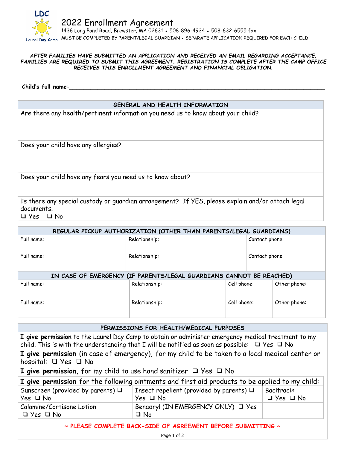

## *AFTER FAMILIES HAVE SUBMITTED AN APPLICATION AND RECEIVED AN EMAIL REGARDING ACCEPTANCE, FAMILIES ARE REQUIRED TO SUBMIT THIS AGREEMENT. REGISTRATION IS COMPLETE AFTER THE CAMP OFFICE RECEIVES THIS ENROLLMENT AGREEMENT AND FINANCIAL OBLIGATION.*

**Child's full name:\_\_\_\_\_\_\_\_\_\_\_\_\_\_\_\_\_\_\_\_\_\_\_\_\_\_\_\_\_\_\_\_\_\_\_\_\_\_\_\_\_\_\_\_\_\_\_\_\_\_\_\_\_\_\_\_\_\_\_\_\_\_\_\_\_\_\_\_\_\_\_\_**

## **GENERAL AND HEALTH INFORMATION**

Are there any health/pertinent information you need us to know about your child?

Does your child have any allergies?

Does your child have any fears you need us to know about?

Is there any special custody or guardian arrangement? If YES, please explain and/or attach legal documents.

❑ Yes ❑ No

| REGULAR PICKUP AUTHORIZATION (OTHER THAN PARENTS/LEGAL GUARDIANS)   |               |                |                |              |  |  |
|---------------------------------------------------------------------|---------------|----------------|----------------|--------------|--|--|
| Full name:                                                          | Relationship: |                | Contact phone: |              |  |  |
| Full name:                                                          | Relationship: | Contact phone: |                |              |  |  |
| IN CASE OF EMERGENCY (IF PARENTS/LEGAL GUARDIANS CANNOT BE REACHED) |               |                |                |              |  |  |
| Full name:                                                          | Relationship: | Cell phone:    |                | Other phone: |  |  |
| Full name:                                                          | Relationship: | Cell phone:    |                | Other phone: |  |  |

| PERMISSIONS FOR HEALTH/MEDICAL PURPOSES                                                                                                                                                                       |                                                                   |                                    |  |  |  |
|---------------------------------------------------------------------------------------------------------------------------------------------------------------------------------------------------------------|-------------------------------------------------------------------|------------------------------------|--|--|--|
| I give permission to the Laurel Day Camp to obtain or administer emergency medical treatment to my<br>child. This is with the understanding that I will be notified as soon as possible: $\Box$ Yes $\Box$ No |                                                                   |                                    |  |  |  |
| I give permission (in case of emergency), for my child to be taken to a local medical center or<br>hospital: $\Box$ Yes $\Box$ No                                                                             |                                                                   |                                    |  |  |  |
| I give permission, for my child to use hand sanitizer $\Box$ Yes $\Box$ No                                                                                                                                    |                                                                   |                                    |  |  |  |
| I give permission for the following ointments and first aid products to be applied to my child:                                                                                                               |                                                                   |                                    |  |  |  |
| Sunscreen (provided by parents) $\Box$<br>$Yes \square No$                                                                                                                                                    | Insect repellent (provided by parents) $\Box$<br>$Yes \square No$ | Bacitracin<br>$\Box$ Yes $\Box$ No |  |  |  |
| Calamine/Cortisone Lotion<br>$\Box$ Yes $\Box$ No                                                                                                                                                             | Benadryl (IN EMERGENCY ONLY) □ Yes<br>$\Box$ No                   |                                    |  |  |  |
| $\sim$ PLEASE COMPLETE BACK-SIDE OF AGREEMENT BEFORE SUBMITTING $\sim$                                                                                                                                        |                                                                   |                                    |  |  |  |